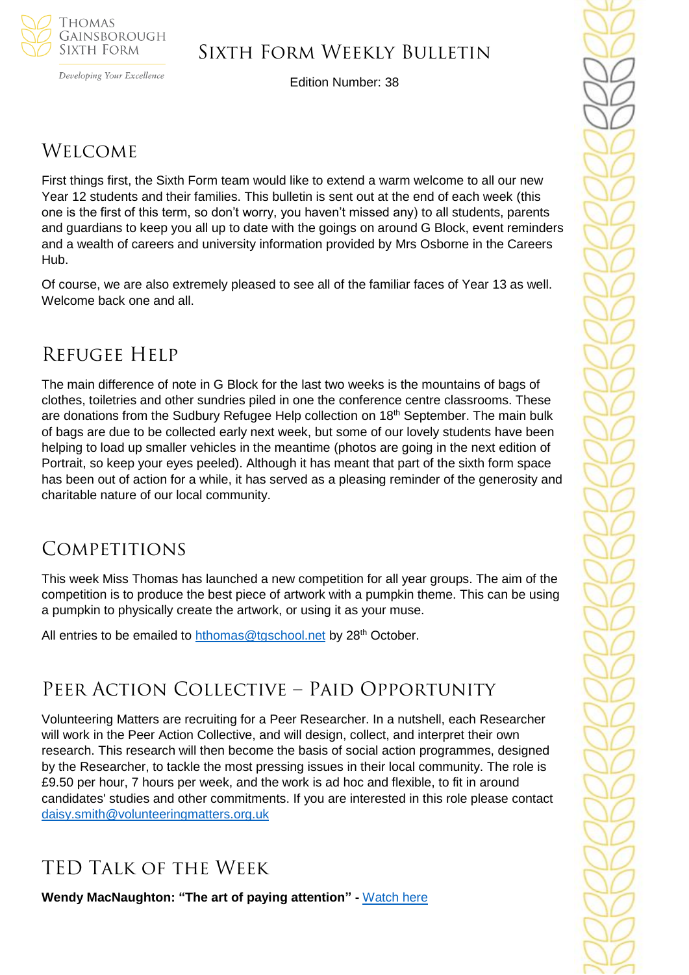

Developing Your Excellence

# Sixth Form Weekly Bulletin

Edition Number: 38

# **WELCOME**

First things first, the Sixth Form team would like to extend a warm welcome to all our new Year 12 students and their families. This bulletin is sent out at the end of each week (this one is the first of this term, so don't worry, you haven't missed any) to all students, parents and guardians to keep you all up to date with the goings on around G Block, event reminders and a wealth of careers and university information provided by Mrs Osborne in the Careers Hub.

Of course, we are also extremely pleased to see all of the familiar faces of Year 13 as well. Welcome back one and all.

# Refugee Help

The main difference of note in G Block for the last two weeks is the mountains of bags of clothes, toiletries and other sundries piled in one the conference centre classrooms. These are donations from the Sudbury Refugee Help collection on 18<sup>th</sup> September. The main bulk of bags are due to be collected early next week, but some of our lovely students have been helping to load up smaller vehicles in the meantime (photos are going in the next edition of Portrait, so keep your eyes peeled). Although it has meant that part of the sixth form space has been out of action for a while, it has served as a pleasing reminder of the generosity and charitable nature of our local community.

# **COMPETITIONS**

This week Miss Thomas has launched a new competition for all year groups. The aim of the competition is to produce the best piece of artwork with a pumpkin theme. This can be using a pumpkin to physically create the artwork, or using it as your muse.

All entries to be emailed to [hthomas@tgschool.net](mailto:hthomas@tgschool.net) by 28<sup>th</sup> October.

# Peer Action Collective – Paid Opportunity

Volunteering Matters are recruiting for a Peer Researcher. In a nutshell, each Researcher will work in the Peer Action Collective, and will design, collect, and interpret their own research. This research will then become the basis of social action programmes, designed by the Researcher, to tackle the most pressing issues in their local community. The role is £9.50 per hour, 7 hours per week, and the work is ad hoc and flexible, to fit in around candidates' studies and other commitments. If you are interested in this role please contact [daisy.smith@volunteeringmatters.org.uk](mailto:daisy.smith@volunteeringmatters.org.uk)

# TED Talk of the Week

**Wendy MacNaughton: "The art of paying attention" -** [Watch here](https://www.ted.com/talks/wendy_macnaughton_the_art_of_paying_attention)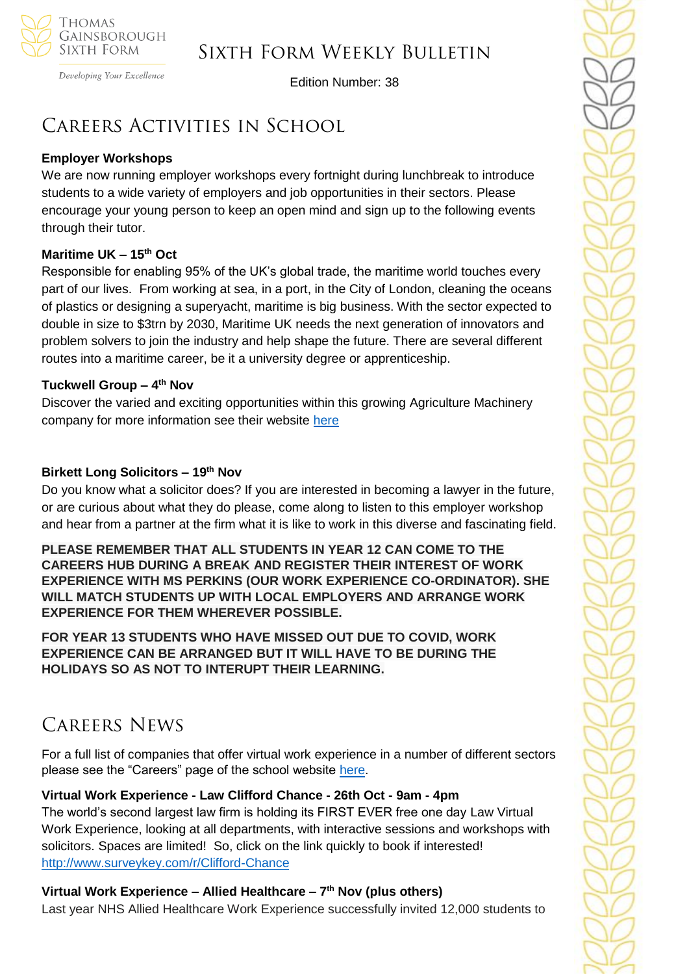

Developing Your Excellence

Edition Number: 38

# Careers Activities in School

## **Employer Workshops**

We are now running employer workshops every fortnight during lunchbreak to introduce students to a wide variety of employers and job opportunities in their sectors. Please encourage your young person to keep an open mind and sign up to the following events through their tutor.

## **Maritime UK – 15th Oct**

Responsible for enabling 95% of the UK's global trade, the maritime world touches every part of our lives. From working at sea, in a port, in the City of London, cleaning the oceans of plastics or designing a superyacht, maritime is big business. With the sector expected to double in size to \$3trn by 2030, Maritime UK needs the next generation of innovators and problem solvers to join the industry and help shape the future. There are several different routes into a maritime career, be it a university degree or apprenticeship.

#### **Tuckwell Group – 4 th Nov**

Discover the varied and exciting opportunities within this growing Agriculture Machinery company for more information see their website [here](https://www.tuckwells.com/tuckwell-careers/)

#### **Birkett Long Solicitors – 19th Nov**

Do you know what a solicitor does? If you are interested in becoming a lawyer in the future, or are curious about what they do please, come along to listen to this employer workshop and hear from a partner at the firm what it is like to work in this diverse and fascinating field.

**PLEASE REMEMBER THAT ALL STUDENTS IN YEAR 12 CAN COME TO THE CAREERS HUB DURING A BREAK AND REGISTER THEIR INTEREST OF WORK EXPERIENCE WITH MS PERKINS (OUR WORK EXPERIENCE CO-ORDINATOR). SHE WILL MATCH STUDENTS UP WITH LOCAL EMPLOYERS AND ARRANGE WORK EXPERIENCE FOR THEM WHEREVER POSSIBLE.** 

**FOR YEAR 13 STUDENTS WHO HAVE MISSED OUT DUE TO COVID, WORK EXPERIENCE CAN BE ARRANGED BUT IT WILL HAVE TO BE DURING THE HOLIDAYS SO AS NOT TO INTERUPT THEIR LEARNING.**

# Careers News

For a full list of companies that offer virtual work experience in a number of different sectors please see the "Careers" page of the school website [here.](https://tgschool.net/careers)

## **Virtual Work Experience - Law Clifford Chance - 26th Oct - 9am - 4pm**

The world's second largest law firm is holding its FIRST EVER free one day Law Virtual Work Experience, looking at all departments, with interactive sessions and workshops with solicitors. Spaces are limited! So, click on the link quickly to book if interested! [http://www.surveykey.com/r/Clifford-Chance](http://www.surveymonkey.com/r/Clifford-Chance)

## **Virtual Work Experience – Allied Healthcare – 7 th Nov (plus others)**

Last year NHS Allied Healthcare Work Experience successfully invited 12,000 students to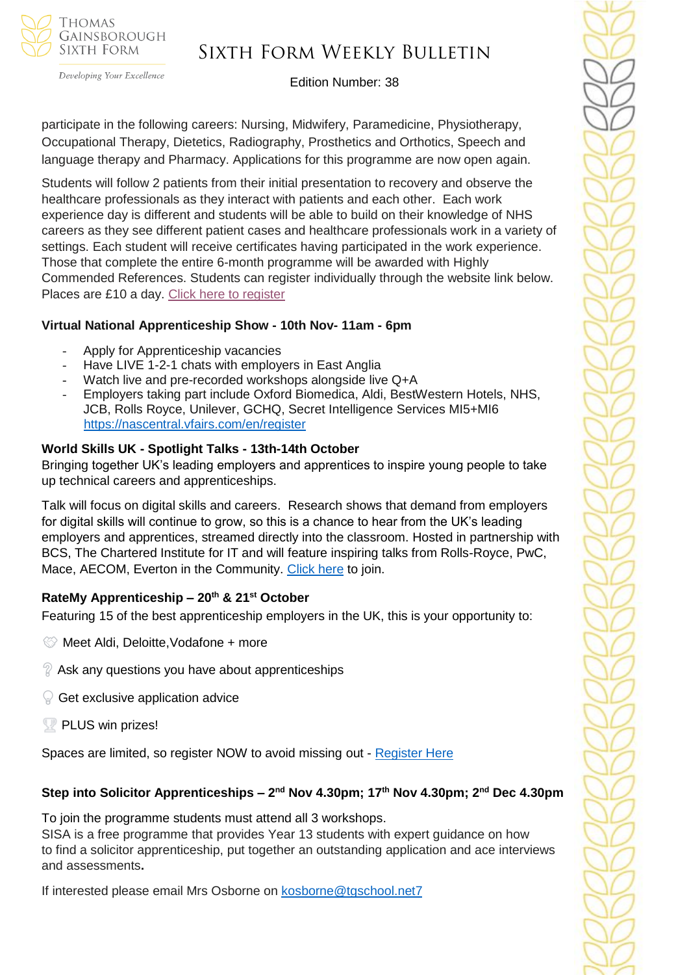

Developing Your Excellence

## Edition Number: 38

participate in the following careers: Nursing, Midwifery, Paramedicine, Physiotherapy, Occupational Therapy, Dietetics, Radiography, Prosthetics and Orthotics, Speech and language therapy and Pharmacy. Applications for this programme are now open again.

Students will follow 2 patients from their initial presentation to recovery and observe the healthcare professionals as they interact with patients and each other. Each work experience day is different and students will be able to build on their knowledge of NHS careers as they see different patient cases and healthcare professionals work in a variety of settings. Each student will receive certificates having participated in the work experience. Those that complete the entire 6-month programme will be awarded with Highly Commended References. Students can register individually through the website link below. Places are £10 a day. [Click here to register](https://alliedhealthmentor.org/nhs-healthcare-careers-virtual-work-experience/)

#### **Virtual National Apprenticeship Show - 10th Nov- 11am - 6pm**

- Apply for Apprenticeship vacancies
- Have LIVE 1-2-1 chats with employers in East Anglia
- Watch live and pre-recorded workshops alongside live Q+A
- Employers taking part include Oxford Biomedica, Aldi, BestWestern Hotels, NHS, JCB, Rolls Royce, Unilever, GCHQ, Secret Intelligence Services MI5+MI6 <https://nascentral.vfairs.com/en/register>

#### **World Skills UK - Spotlight Talks - 13th-14th October**

Bringing together UK's leading employers and apprentices to inspire young people to take up technical careers and apprenticeships.

Talk will focus on digital skills and careers. Research shows that demand from employers for digital skills will continue to grow, so this is a chance to hear from the UK's leading employers and apprentices, streamed directly into the classroom. Hosted in partnership with BCS, The Chartered Institute for IT and will feature inspiring talks from Rolls-Royce, PwC, Mace, AECOM, Everton in the Community. [Click here](https://www.worldskillsuk.org/careers-advice/spotlight-talks-inspiring-careers-excellence/?utm_source=MailChimp&utm_medium=Educator_email&utm_campaign=Spotlight&utm_source=WorldSkills+UK+Newsletter&utm_campaign=dce6a1a6a4-EMAIL_CAMPAIGN_2019_12_10_03_37_COPY_01&utm_medium=email&utm_term=0_844496feda-dce6a1a6a4-146077034) to join.

## **RateMy Apprenticeship – 20th & 21st October**

Featuring 15 of the best apprenticeship employers in the UK, this is your opportunity to:

- **Meet Aldi, Deloitte, Vodafone + more**
- $\%$  Ask any questions you have about apprenticeships
- $\mathbb{Q}$  Get exclusive application advice
- PLUS win prizes!

Spaces are limited, so register NOW to avoid missing out - [Register Here](https://events.ratemyapprenticeship.co.uk/?utm_source=ratemyapprenticeship&utm_medium=referral&utm_content=dashboard)

## **Step into Solicitor Apprenticeships – 2 nd Nov 4.30pm; 17th Nov 4.30pm; 2nd Dec 4.30pm**

To join the programme students must attend all 3 workshops.

SISA is a free programme that provides Year 13 students with expert guidance on how to find a solicitor apprenticeship, put together an outstanding application and ace interviews and assessments**.**

If interested please email Mrs Osborne on [kosborne@tgschool.net7](mailto:kosborne@tgschool.net7)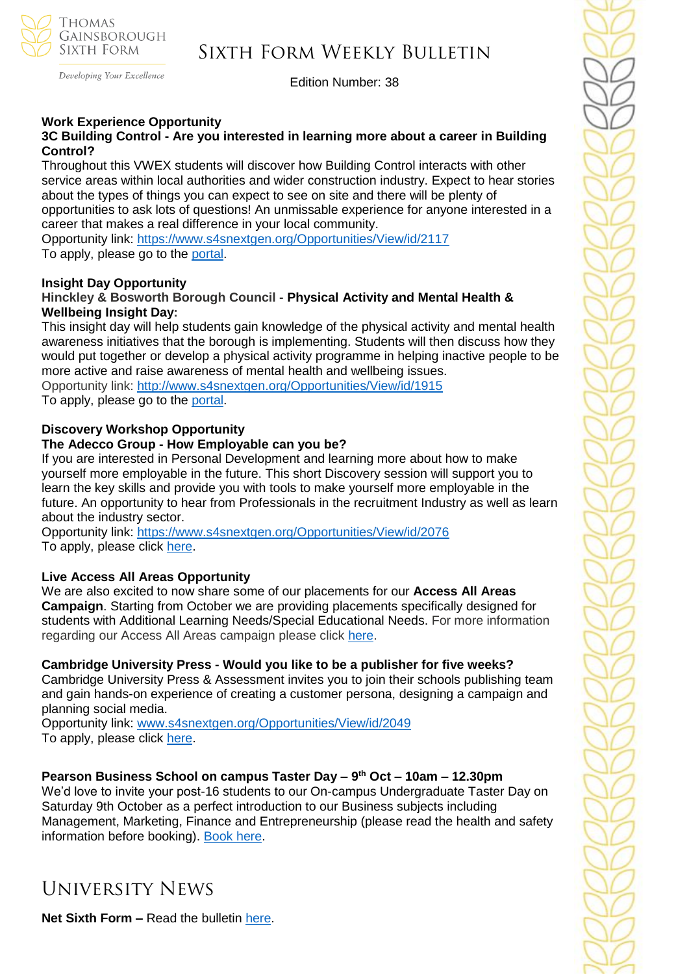

Developing Your Excellence

Edition Number: 38

### **Work Experience Opportunity**

#### **3C Building Control - Are you interested in learning more about a career in Building Control?**

Throughout this VWEX students will discover how Building Control interacts with other service areas within local authorities and wider construction industry. Expect to hear stories about the types of things you can expect to see on site and there will be plenty of opportunities to ask lots of questions! An unmissable experience for anyone interested in a career that makes a real difference in your local community.

Opportunity link: <https://www.s4snextgen.org/Opportunities/View/id/2117> To apply, please go to the [portal.](https://www.s4snextgen.org/)

#### **Insight Day Opportunity**

#### **Hinckley & Bosworth Borough Council - Physical Activity and Mental Health & Wellbeing Insight Day:**

This insight day will help students gain knowledge of the physical activity and mental health awareness initiatives that the borough is implementing. Students will then discuss how they would put together or develop a physical activity programme in helping inactive people to be more active and raise awareness of mental health and wellbeing issues. Opportunity link: [http://www.s4snextgen.org/Opportunities/View/id/1915](https://urlsand.esvalabs.com/?u=http%3A%2F%2Fwww.s4snextgen.org%2FOpportunities%2FView%2Fid%2F1915&e=1680ccf7&h=1329f76a&f=n&p=y) To apply, please go to the [portal.](https://www.s4snextgen.org/)

#### **Discovery Workshop Opportunity**

#### **The Adecco Group - How Employable can you be?**

If you are interested in Personal Development and learning more about how to make yourself more employable in the future. This short Discovery session will support you to learn the key skills and provide you with tools to make yourself more employable in the future. An opportunity to hear from Professionals in the recruitment Industry as well as learn about the industry sector.

Opportunity link: <https://www.s4snextgen.org/Opportunities/View/id/2076> To apply, please click [here.](https://forms.office.com/Pages/ResponsePage.aspx?id=HFqhLo7yMEahv9dFTLRO6zrXm6ITwINPrFy8lSVcl2JUNjRNMUlYVFZUUFRWNVQxV1RLNEVFTjc4VS4u)

#### **Live Access All Areas Opportunity**

We are also excited to now share some of our placements for our **Access All Areas Campaign**. Starting from October we are providing placements specifically designed for students with Additional Learning Needs/Special Educational Needs. For more information regarding our Access All Areas campaign please click [here.](http://www.access-all-areas.co.uk/)

#### **Cambridge University Press - Would you like to be a publisher for five weeks?**

Cambridge University Press & Assessment invites you to join their schools publishing team and gain hands-on experience of creating a customer persona, designing a campaign and planning social media.

Opportunity link: [www.s4snextgen.org/Opportunities/View/id/2049](https://urlsand.esvalabs.com/?u=http%3A%2F%2Fwww.s4snextgen.org%2FOpportunities%2FView%2Fid%2F2049&e=1680ccf7&h=1efb2038&f=n&p=y) To apply, please click [here.](https://forms.office.com/Pages/DesignPage.aspx#FormId=HFqhLo7yMEahv9dFTLRO6-YMFiv_i6REsxgjqsM-7WVUNk4zWFdST1Q0QlNHU0gxR0dFVzhFVFdaMS4u&Token=9bad9f12e65d46d18da337f7ad1b6734)

#### **Pearson Business School on campus Taster Day – 9 th Oct – 10am – 12.30pm**

We'd love to invite your post-16 students to our On-campus Undergraduate Taster Day on Saturday 9th October as a perfect introduction to our Business subjects including Management, Marketing, Finance and Entrepreneurship (please read the health and safety information before booking). [Book here.](https://www.pearsoncollegelondon.ac.uk/pearson-business-school/visit-us/events/undergraduate-taster-days.html?utm_source=unitasterdays&utm_medium=email)

# University News

**Net Sixth Form –** Read the bulletin [here.](https://us5.campaign-archive.com/?u=8dedc07ce580600fe618f38c3&id=6de5dd8437&e=51b5a4fd55)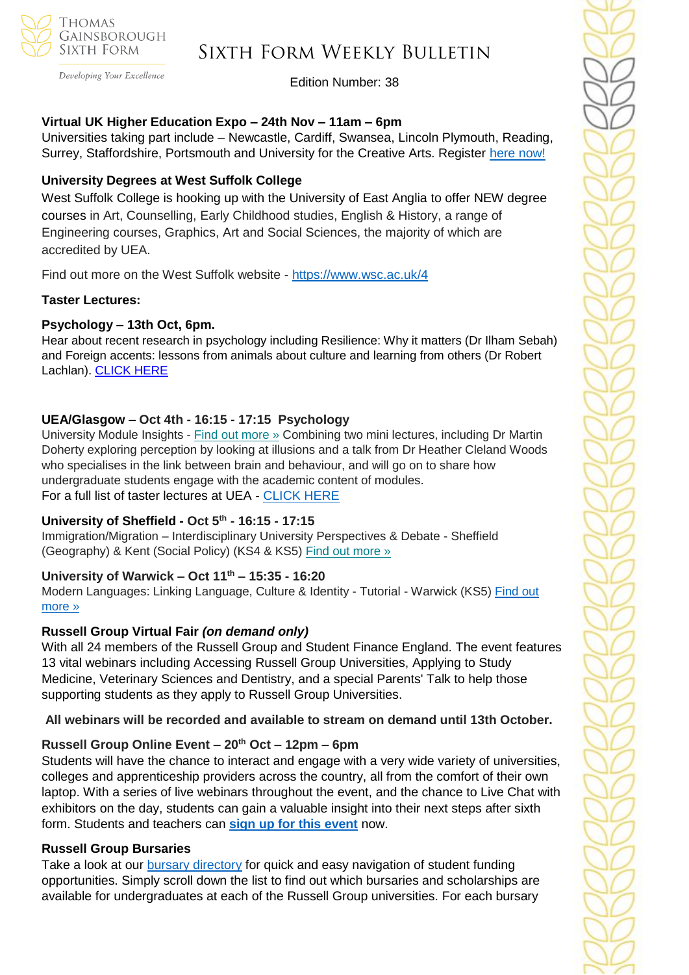

#### Developing Your Excellence

# Sixth Form Weekly Bulletin

Edition Number: 38

#### **Virtual UK Higher Education Expo – 24th Nov – 11am – 6pm**

Universities taking part include – Newcastle, Cardiff, Swansea, Lincoln Plymouth, Reading, Surrey, Staffordshire, Portsmouth and University for the Creative Arts. Register [here](https://schools.tecl.co.uk/educationcompany5lz/lz.aspx?p1=M8IDU2MTI3MDk0UzQ2NjE6RDIxQTA4NTgzOUYwRDVFMjM2MzFDQjQyNjdBMTVBREQ%3d-&CC=&w=7191) now!

### **University Degrees at West Suffolk College**

West Suffolk College is hooking up with the University of East Anglia to offer NEW degree courses in Art, Counselling, Early Childhood studies, English & History, a range of Engineering courses, Graphics, Art and Social Sciences, the majority of which are accredited by UEA.

Find out more on the West Suffolk website - <https://www.wsc.ac.uk/4>

#### **Taster Lectures:**

#### **Psychology – 13th Oct, 6pm.**

Hear about recent research in psychology including Resilience: Why it matters (Dr Ilham Sebah) and Foreign accents: lessons from animals about culture and learning from others (Dr Robert Lachlan). [CLICK](https://netsxithform.us5.list-manage.com/track/click?u=8dedc07ce580600fe618f38c3&id=14e46add33&e=51b5a4fd55) HERE

## **UEA/Glasgow – Oct 4th - 16:15 - 17:15 Psychology**

University Module Insights - Find out [more](https://channeltalent.us10.list-manage.com/track/click?u=145837fa6843e0c349598322a&id=ff4db5bcbc&e=155232616c) » Combining two mini lectures, including Dr Martin Doherty exploring perception by looking at illusions and a talk from Dr Heather Cleland Woods who specialises in the link between brain and behaviour, and will go on to share how undergraduate students engage with the academic content of modules. For a full list of taster lectures at UEA - [CLICK HERE](https://www.uea.ac.uk/study/information-for/young-people/subject-taster-sessions)

## **University of Sheffield - Oct 5th - 16:15 - 17:15**

Immigration/Migration – Interdisciplinary University Perspectives & Debate - Sheffield (Geography) & Kent (Social Policy) (KS4 & KS5) Find out [more](https://channeltalent.us10.list-manage.com/track/click?u=145837fa6843e0c349598322a&id=a82a0ee086&e=ba0e9a2959) »

#### **University of Warwick – Oct 11th – 15:35 - 16:20**

Modern Languages: Linking Language, Culture & Identity - Tutorial - Warwick (KS5) [Find out](https://channeltalent.us10.list-manage.com/track/click?u=145837fa6843e0c349598322a&id=d118a79c7d&e=ba0e9a2959)  [more »](https://channeltalent.us10.list-manage.com/track/click?u=145837fa6843e0c349598322a&id=d118a79c7d&e=ba0e9a2959)

## **Russell Group Virtual Fair** *(on demand only)*

With all 24 members of the Russell Group and Student Finance England. The event features 13 vital webinars including Accessing Russell Group Universities, Applying to Study Medicine, Veterinary Sciences and Dentistry, and a special Parents' Talk to help those supporting students as they apply to Russell Group Universities.

#### **All webinars will be recorded and available to stream on demand until 13th October.**

## **Russell Group Online Event – 20th Oct – 12pm – 6pm**

Students will have the chance to interact and engage with a very wide variety of universities, colleges and apprenticeship providers across the country, all from the comfort of their own laptop. With a series of live webinars throughout the event, and the chance to Live Chat with exhibitors on the day, students can gain a valuable insight into their next steps after sixth form. Students and teachers can **sign up for this [event](https://ukunisearch.vfairs.com/)** now.

#### **Russell Group Bursaries**

Take a look at our [bursary directory](https://www.advancingaccess.ac.uk/2/content/24/resources/137/login) for quick and easy navigation of student funding opportunities. Simply scroll down the list to find out which bursaries and scholarships are available for undergraduates at each of the Russell Group universities. For each bursary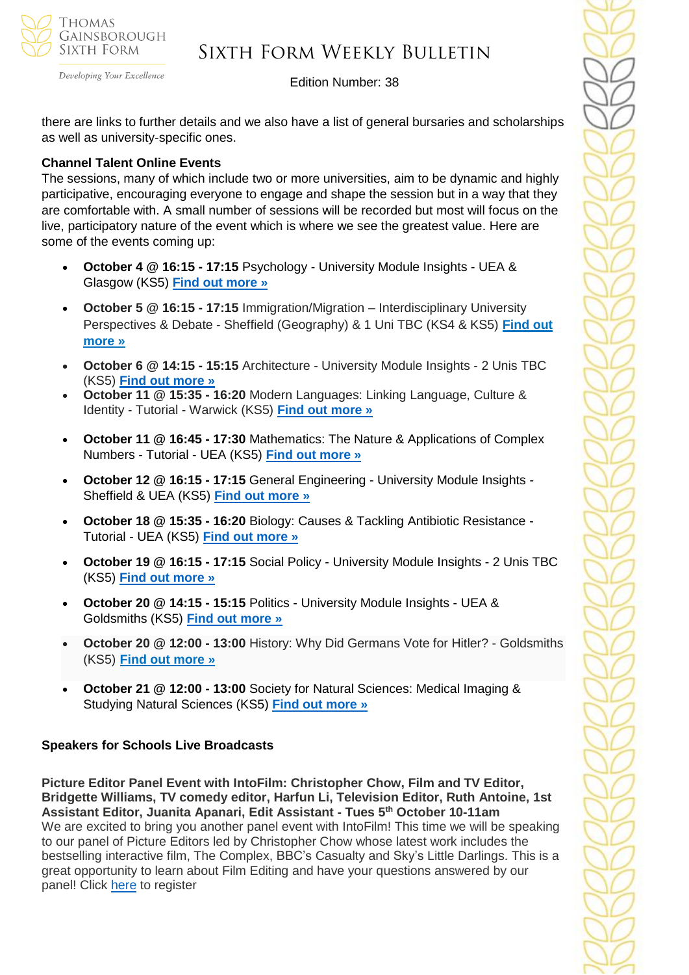

Developing Your Excellence

## Edition Number: 38

there are links to further details and we also have a list of general bursaries and scholarships as well as university-specific ones.

#### **Channel Talent Online Events**

The sessions, many of which include two or more universities, aim to be dynamic and highly participative, encouraging everyone to engage and shape the session but in a way that they are comfortable with. A small number of sessions will be recorded but most will focus on the live, participatory nature of the event which is where we see the greatest value. Here are some of the events coming up:

- **October 4 @ 16:15 - 17:15** Psychology University Module Insights UEA & Glasgow (KS5) **[Find out more »](https://channeltalent.us10.list-manage.com/track/click?u=145837fa6843e0c349598322a&id=d9f718d410&e=ba0e9a2959)**
- **October 5 @ 16:15 - 17:15** Immigration/Migration Interdisciplinary University Perspectives & Debate - Sheffield (Geography) & 1 Uni TBC (KS4 & KS5) **[Find](https://channeltalent.us10.list-manage.com/track/click?u=145837fa6843e0c349598322a&id=6aa59d1730&e=ba0e9a2959) out [more](https://channeltalent.us10.list-manage.com/track/click?u=145837fa6843e0c349598322a&id=6aa59d1730&e=ba0e9a2959) »**
- **October 6 @ 14:15 - 15:15** Architecture University Module Insights 2 Unis TBC (KS5) **[Find out more »](https://www.channeltalent.co.uk/event/right4me-architecture-insights-into-university-modules-the-learning-experience/)**
- **October 11 @ 15:35 - 16:20** Modern Languages: Linking Language, Culture & Identity - Tutorial - Warwick (KS5) **[Find out more »](https://channeltalent.us10.list-manage.com/track/click?u=145837fa6843e0c349598322a&id=0212074b4d&e=ba0e9a2959)**
- **October 11 @ 16:45 - 17:30** Mathematics: The Nature & Applications of Complex Numbers - Tutorial - UEA (KS5) **[Find out more »](https://channeltalent.us10.list-manage.com/track/click?u=145837fa6843e0c349598322a&id=976c70db52&e=ba0e9a2959)**
- **October 12 @ 16:15 - 17:15** General Engineering University Module Insights Sheffield & UEA (KS5) **[Find out more »](https://channeltalent.us10.list-manage.com/track/click?u=145837fa6843e0c349598322a&id=ecbba30c1d&e=ba0e9a2959)**
- **October 18 @ 15:35 - 16:20** Biology: Causes & Tackling Antibiotic Resistance Tutorial - UEA (KS5) **[Find out more »](https://channeltalent.us10.list-manage.com/track/click?u=145837fa6843e0c349598322a&id=e35f432a76&e=ba0e9a2959)**
- **October 19 @ 16:15 - 17:15** Social Policy University Module Insights 2 Unis TBC (KS5) **[Find out more »](https://www.channeltalent.co.uk/event/right4me-social-policy-insights-into-university-modules-the-learning-experience/)**
- **October 20 @ 14:15 - 15:15** Politics University Module Insights UEA & Goldsmiths (KS5) **[Find out more »](https://www.channeltalent.co.uk/event/right4me-politics-insights-into-university-modules-the-learning-experience/)**
- **October 20 @ 12:00 - 13:00** History: Why Did Germans Vote for Hitler? Goldsmiths (KS5) **Find out [more](https://channeltalent.us10.list-manage.com/track/click?u=145837fa6843e0c349598322a&id=01dc8770d8&e=ba0e9a2959) »**
- **October 21 @ 12:00 - 13:00** Society for Natural Sciences: Medical Imaging & Studying Natural Sciences (KS5) **[Find out more »](https://channeltalent.us10.list-manage.com/track/click?u=145837fa6843e0c349598322a&id=4827a33b39&e=ba0e9a2959)**

## **Speakers for Schools Live Broadcasts**

**Picture Editor Panel Event with IntoFilm: Christopher Chow, Film and TV Editor, Bridgette Williams, TV comedy editor, Harfun Li, Television Editor, Ruth Antoine, 1st Assistant Editor, Juanita Apanari, Edit Assistant - Tues 5 th October 10-11am** We are excited to bring you another panel event with IntoFilm! This time we will be speaking to our panel of Picture Editors led by Christopher Chow whose latest work includes the bestselling interactive film, The Complex, BBC's Casualty and Sky's Little Darlings. This is a great opportunity to learn about Film Editing and have your questions answered by our panel! Click [here](https://forms.office.com/r/9MxD1ef96g) to register